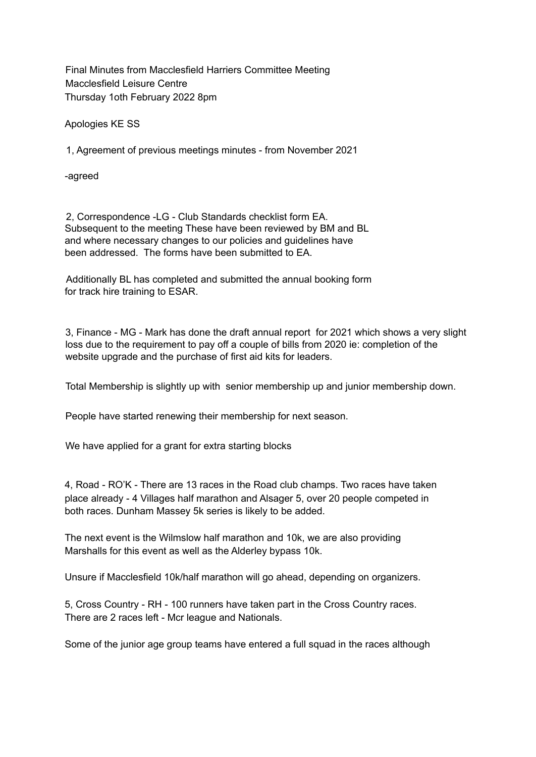Final Minutes from Macclesfield Harriers Committee Meeting Macclesfield Leisure Centre Thursday 1oth February 2022 8pm

Apologies KE SS

1, Agreement of previous meetings minutes - from November 2021

-agreed

2, Correspondence -LG - Club Standards checklist form EA. Subsequent to the meeting These have been reviewed by BM and BL and where necessary changes to our policies and guidelines have been addressed. The forms have been submitted to EA.

Additionally BL has completed and submitted the annual booking form for track hire training to ESAR.

3, Finance - MG - Mark has done the draft annual report for 2021 which shows a very slight loss due to the requirement to pay off a couple of bills from 2020 ie: completion of the website upgrade and the purchase of first aid kits for leaders.

Total Membership is slightly up with senior membership up and junior membership down.

People have started renewing their membership for next season.

We have applied for a grant for extra starting blocks

4, Road - RO'K - There are 13 races in the Road club champs. Two races have taken place already - 4 Villages half marathon and Alsager 5, over 20 people competed in both races. Dunham Massey 5k series is likely to be added.

The next event is the Wilmslow half marathon and 10k, we are also providing Marshalls for this event as well as the Alderley bypass 10k.

Unsure if Macclesfield 10k/half marathon will go ahead, depending on organizers.

5, Cross Country - RH - 100 runners have taken part in the Cross Country races. There are 2 races left - Mcr league and Nationals.

Some of the junior age group teams have entered a full squad in the races although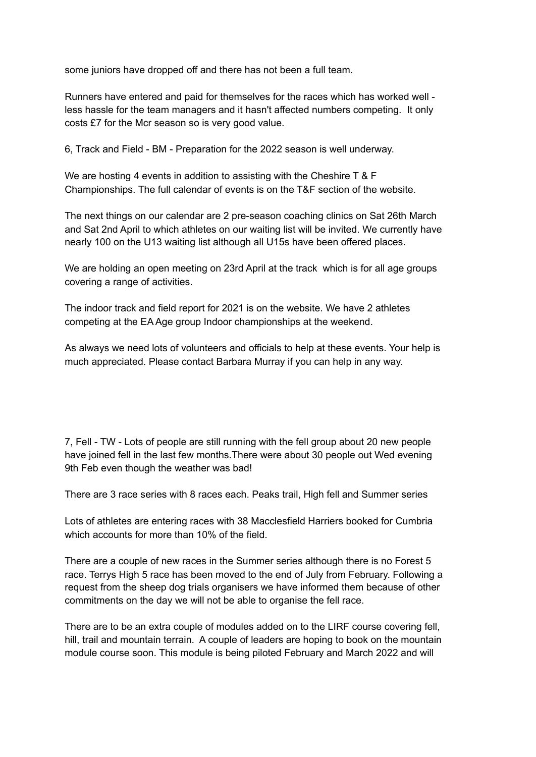some juniors have dropped off and there has not been a full team.

Runners have entered and paid for themselves for the races which has worked well less hassle for the team managers and it hasn't affected numbers competing. It only costs £7 for the Mcr season so is very good value.

6, Track and Field - BM - Preparation for the 2022 season is well underway.

We are hosting 4 events in addition to assisting with the Cheshire T & F Championships. The full calendar of events is on the T&F section of the website.

The next things on our calendar are 2 pre-season coaching clinics on Sat 26th March and Sat 2nd April to which athletes on our waiting list will be invited. We currently have nearly 100 on the U13 waiting list although all U15s have been offered places.

We are holding an open meeting on 23rd April at the track which is for all age groups covering a range of activities.

The indoor track and field report for 2021 is on the website. We have 2 athletes competing at the EA Age group Indoor championships at the weekend.

As always we need lots of volunteers and officials to help at these events. Your help is much appreciated. Please contact Barbara Murray if you can help in any way.

7, Fell - TW - Lots of people are still running with the fell group about 20 new people have joined fell in the last few months.There were about 30 people out Wed evening 9th Feb even though the weather was bad!

There are 3 race series with 8 races each. Peaks trail, High fell and Summer series

Lots of athletes are entering races with 38 Macclesfield Harriers booked for Cumbria which accounts for more than 10% of the field.

There are a couple of new races in the Summer series although there is no Forest 5 race. Terrys High 5 race has been moved to the end of July from February. Following a request from the sheep dog trials organisers we have informed them because of other commitments on the day we will not be able to organise the fell race.

There are to be an extra couple of modules added on to the LIRF course covering fell, hill, trail and mountain terrain. A couple of leaders are hoping to book on the mountain module course soon. This module is being piloted February and March 2022 and will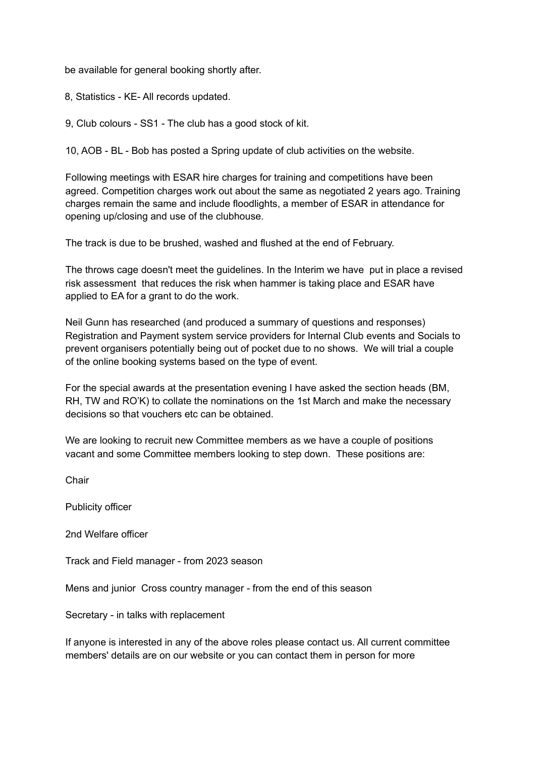be available for general booking shortly after.

8, Statistics - KE- All records updated.

9, Club colours - SS1 - The club has a good stock of kit.

10, AOB - BL - Bob has posted a Spring update of club activities on the website.

Following meetings with ESAR hire charges for training and competitions have been agreed. Competition charges work out about the same as negotiated 2 years ago. Training charges remain the same and include floodlights, a member of ESAR in attendance for opening up/closing and use of the clubhouse.

The track is due to be brushed, washed and flushed at the end of February.

The throws cage doesn't meet the guidelines. In the Interim we have put in place a revised risk assessment that reduces the risk when hammer is taking place and ESAR have applied to EA for a grant to do the work.

Neil Gunn has researched (and produced a summary of questions and responses) Registration and Payment system service providers for Internal Club events and Socials to prevent organisers potentially being out of pocket due to no shows. We will trial a couple of the online booking systems based on the type of event.

For the special awards at the presentation evening I have asked the section heads (BM, RH, TW and RO'K) to collate the nominations on the 1st March and make the necessary decisions so that vouchers etc can be obtained.

We are looking to recruit new Committee members as we have a couple of positions vacant and some Committee members looking to step down. These positions are:

Chair

Publicity officer

2nd Welfare officer

Track and Field manager - from 2023 season

Mens and junior Cross country manager - from the end of this season

Secretary - in talks with replacement

If anyone is interested in any of the above roles please contact us. All current committee members' details are on our website or you can contact them in person for more